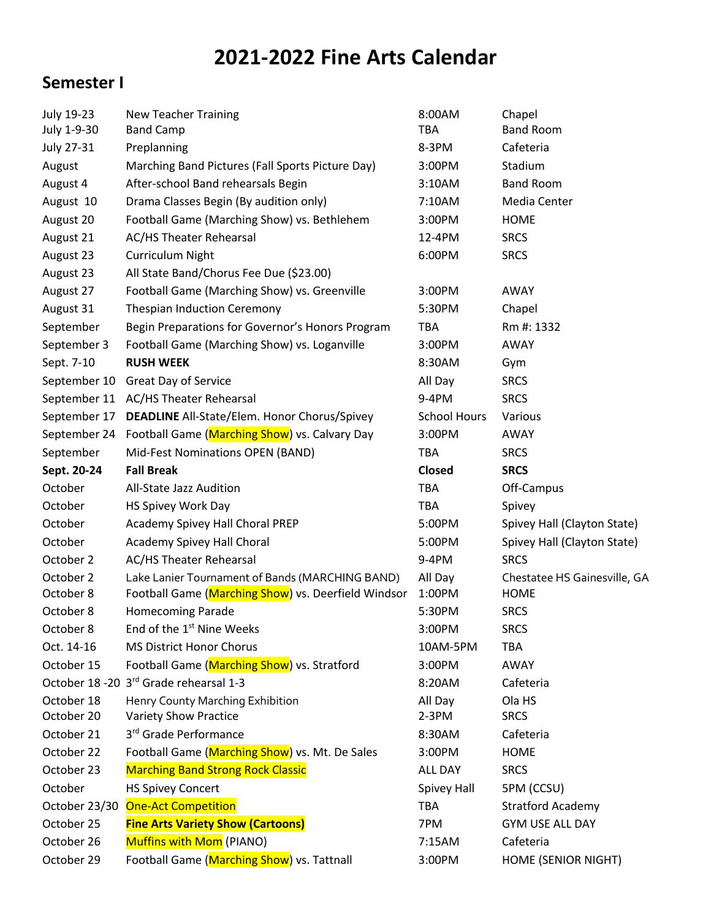## **2021-2022 Fine Arts Calendar**

## **Semester I**

| July 19-23    | <b>New Teacher Training</b>                         | 8:00AM              | Chapel                       |
|---------------|-----------------------------------------------------|---------------------|------------------------------|
| July 1-9-30   | <b>Band Camp</b>                                    | <b>TBA</b>          | <b>Band Room</b>             |
| July 27-31    | Preplanning                                         | 8-3PM               | Cafeteria                    |
| August        | Marching Band Pictures (Fall Sports Picture Day)    | 3:00PM              | Stadium                      |
| August 4      | After-school Band rehearsals Begin                  | 3:10AM              | <b>Band Room</b>             |
| August 10     | Drama Classes Begin (By audition only)              | 7:10AM              | Media Center                 |
| August 20     | Football Game (Marching Show) vs. Bethlehem         | 3:00PM              | <b>HOME</b>                  |
| August 21     | <b>AC/HS Theater Rehearsal</b>                      | 12-4PM              | <b>SRCS</b>                  |
| August 23     | Curriculum Night                                    | 6:00PM              | <b>SRCS</b>                  |
| August 23     | All State Band/Chorus Fee Due (\$23.00)             |                     |                              |
| August 27     | Football Game (Marching Show) vs. Greenville        | 3:00PM              | AWAY                         |
| August 31     | <b>Thespian Induction Ceremony</b>                  | 5:30PM              | Chapel                       |
| September     | Begin Preparations for Governor's Honors Program    | <b>TBA</b>          | Rm #: 1332                   |
| September 3   | Football Game (Marching Show) vs. Loganville        | 3:00PM              | AWAY                         |
| Sept. 7-10    | <b>RUSH WEEK</b>                                    | 8:30AM              | Gym                          |
| September 10  | Great Day of Service                                | All Day             | <b>SRCS</b>                  |
|               | September 11 AC/HS Theater Rehearsal                | 9-4PM               | <b>SRCS</b>                  |
| September 17  | <b>DEADLINE</b> All-State/Elem. Honor Chorus/Spivey | <b>School Hours</b> | Various                      |
| September 24  | Football Game (Marching Show) vs. Calvary Day       | 3:00PM              | AWAY                         |
| September     | Mid-Fest Nominations OPEN (BAND)                    | <b>TBA</b>          | <b>SRCS</b>                  |
| Sept. 20-24   | <b>Fall Break</b>                                   | <b>Closed</b>       | <b>SRCS</b>                  |
| October       | All-State Jazz Audition                             | <b>TBA</b>          | Off-Campus                   |
| October       | HS Spivey Work Day                                  | <b>TBA</b>          | Spivey                       |
| October       | Academy Spivey Hall Choral PREP                     | 5:00PM              | Spivey Hall (Clayton State)  |
| October       | Academy Spivey Hall Choral                          | 5:00PM              | Spivey Hall (Clayton State)  |
| October 2     | <b>AC/HS Theater Rehearsal</b>                      | $9-4PM$             | <b>SRCS</b>                  |
| October 2     | Lake Lanier Tournament of Bands (MARCHING BAND)     | All Day             | Chestatee HS Gainesville, GA |
| October 8     | Football Game (Marching Show) vs. Deerfield Windsor | 1:00PM              | <b>HOME</b>                  |
| October 8     | <b>Homecoming Parade</b>                            | 5:30PM              | <b>SRCS</b>                  |
| October 8     | End of the 1 <sup>st</sup> Nine Weeks               | 3:00PM              | <b>SRCS</b>                  |
| Oct. 14-16    | <b>MS District Honor Chorus</b>                     | 10AM-5PM            | <b>TBA</b>                   |
| October 15    | Football Game (Marching Show) vs. Stratford         | 3:00PM              | AWAY                         |
|               | October 18 - 20 3rd Grade rehearsal 1-3             | 8:20AM              | Cafeteria                    |
| October 18    | Henry County Marching Exhibition                    | All Day             | Ola HS                       |
| October 20    | <b>Variety Show Practice</b>                        | $2-3PM$             | <b>SRCS</b>                  |
| October 21    | 3rd Grade Performance                               | 8:30AM              | Cafeteria                    |
| October 22    | Football Game (Marching Show) vs. Mt. De Sales      | 3:00PM              | <b>HOME</b>                  |
| October 23    | <b>Marching Band Strong Rock Classic</b>            | ALL DAY             | <b>SRCS</b>                  |
| October       | <b>HS Spivey Concert</b>                            | Spivey Hall         | 5PM (CCSU)                   |
| October 23/30 | <b>One-Act Competition</b>                          | <b>TBA</b>          | <b>Stratford Academy</b>     |
| October 25    | <b>Fine Arts Variety Show (Cartoons)</b>            | 7PM                 | <b>GYM USE ALL DAY</b>       |
| October 26    | Muffins with Mom (PIANO)                            | 7:15AM              | Cafeteria                    |
| October 29    | Football Game (Marching Show) vs. Tattnall          | 3:00PM              | <b>HOME (SENIOR NIGHT)</b>   |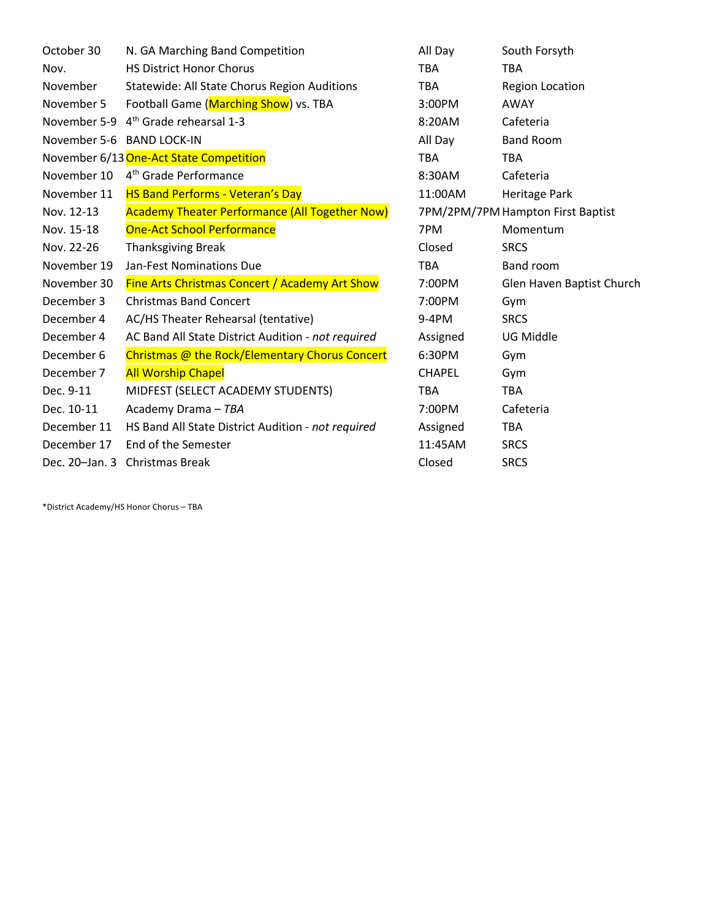| October 30     | N. GA Marching Band Competition                       | All Day                           | South Forsyth             |
|----------------|-------------------------------------------------------|-----------------------------------|---------------------------|
| Nov.           | <b>HS District Honor Chorus</b>                       | <b>TBA</b>                        | <b>TBA</b>                |
| November       | <b>Statewide: All State Chorus Region Auditions</b>   | <b>TBA</b>                        | <b>Region Location</b>    |
| November 5     | Football Game (Marching Show) vs. TBA                 | 3:00PM                            | <b>AWAY</b>               |
| November 5-9   | 4 <sup>th</sup> Grade rehearsal 1-3                   | 8:20AM                            | Cafeteria                 |
|                | November 5-6 BAND LOCK-IN                             | All Day                           | <b>Band Room</b>          |
|                | November 6/13 One-Act State Competition               | <b>TBA</b>                        | <b>TBA</b>                |
| November 10    | 4 <sup>th</sup> Grade Performance                     | 8:30AM                            | Cafeteria                 |
| November 11    | <b>HS Band Performs - Veteran's Day</b>               | 11:00AM                           | Heritage Park             |
| Nov. 12-13     | <b>Academy Theater Performance (All Together Now)</b> | 7PM/2PM/7PM Hampton First Baptist |                           |
| Nov. 15-18     | <b>One-Act School Performance</b>                     | 7PM                               | Momentum                  |
| Nov. 22-26     | <b>Thanksgiving Break</b>                             | Closed                            | <b>SRCS</b>               |
| November 19    | Jan-Fest Nominations Due                              | <b>TBA</b>                        | Band room                 |
| November 30    | <b>Fine Arts Christmas Concert / Academy Art Show</b> | 7:00PM                            | Glen Haven Baptist Church |
| December 3     | <b>Christmas Band Concert</b>                         | 7:00PM                            | Gym                       |
| December 4     | AC/HS Theater Rehearsal (tentative)                   | 9-4PM                             | <b>SRCS</b>               |
| December 4     | AC Band All State District Audition - not required    | Assigned                          | UG Middle                 |
| December 6     | Christmas @ the Rock/Elementary Chorus Concert        | 6:30PM                            | Gym                       |
| December 7     | <b>All Worship Chapel</b>                             | <b>CHAPEL</b>                     | Gym                       |
| Dec. 9-11      | MIDFEST (SELECT ACADEMY STUDENTS)                     | <b>TBA</b>                        | <b>TBA</b>                |
| Dec. 10-11     | Academy Drama - TBA                                   | 7:00PM                            | Cafeteria                 |
| December 11    | HS Band All State District Audition - not required    | Assigned                          | TBA.                      |
| December 17    | End of the Semester                                   | 11:45AM                           | <b>SRCS</b>               |
| Dec. 20-Jan. 3 | <b>Christmas Break</b>                                | Closed                            | <b>SRCS</b>               |

\*District Academy/HS Honor Chorus – TBA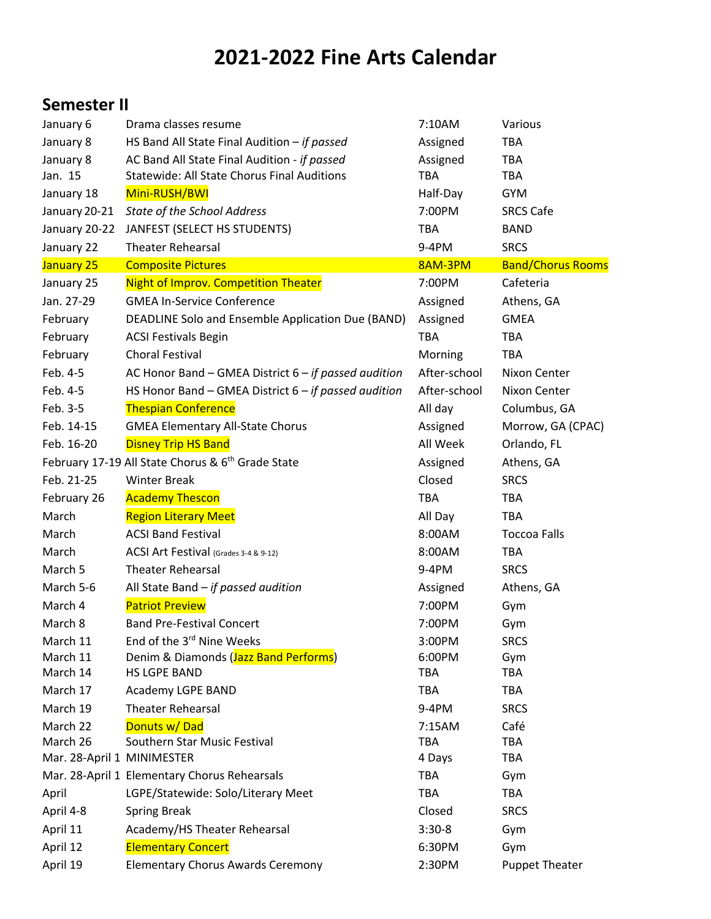## **2021-2022 Fine Arts Calendar**

## **Semester II**

| January 6                  | Drama classes resume                                          | 7:10AM       | Various                  |
|----------------------------|---------------------------------------------------------------|--------------|--------------------------|
| January 8                  | HS Band All State Final Audition - if passed                  | Assigned     | <b>TBA</b>               |
| January 8                  | AC Band All State Final Audition - if passed                  | Assigned     | <b>TBA</b>               |
| Jan. 15                    | <b>Statewide: All State Chorus Final Auditions</b>            | <b>TBA</b>   | TBA                      |
| January 18                 | Mini-RUSH/BWI                                                 | Half-Day     | <b>GYM</b>               |
| January 20-21              | State of the School Address                                   | 7:00PM       | <b>SRCS Cafe</b>         |
| January 20-22              | JANFEST (SELECT HS STUDENTS)                                  | <b>TBA</b>   | <b>BAND</b>              |
| January 22                 | <b>Theater Rehearsal</b>                                      | 9-4PM        | <b>SRCS</b>              |
| January 25                 | <b>Composite Pictures</b>                                     | 8AM-3PM      | <b>Band/Chorus Rooms</b> |
| January 25                 | <b>Night of Improv. Competition Theater</b>                   | 7:00PM       | Cafeteria                |
| Jan. 27-29                 | <b>GMEA In-Service Conference</b>                             | Assigned     | Athens, GA               |
| February                   | DEADLINE Solo and Ensemble Application Due (BAND)             | Assigned     | <b>GMEA</b>              |
| February                   | <b>ACSI Festivals Begin</b>                                   | <b>TBA</b>   | <b>TBA</b>               |
| February                   | <b>Choral Festival</b>                                        | Morning      | <b>TBA</b>               |
| Feb. 4-5                   | AC Honor Band - GMEA District 6 - if passed audition          | After-school | Nixon Center             |
| Feb. 4-5                   | HS Honor Band - GMEA District $6 - if$ passed audition        | After-school | Nixon Center             |
| Feb. 3-5                   | <b>Thespian Conference</b>                                    | All day      | Columbus, GA             |
| Feb. 14-15                 | <b>GMEA Elementary All-State Chorus</b>                       | Assigned     | Morrow, GA (CPAC)        |
| Feb. 16-20                 | <b>Disney Trip HS Band</b>                                    | All Week     | Orlando, FL              |
|                            | February 17-19 All State Chorus & 6 <sup>th</sup> Grade State | Assigned     | Athens, GA               |
| Feb. 21-25                 | <b>Winter Break</b>                                           | Closed       | <b>SRCS</b>              |
| February 26                | <b>Academy Thescon</b>                                        | <b>TBA</b>   | <b>TBA</b>               |
| March                      | <b>Region Literary Meet</b>                                   | All Day      | <b>TBA</b>               |
| March                      | <b>ACSI Band Festival</b>                                     | 8:00AM       | <b>Toccoa Falls</b>      |
| March                      | ACSI Art Festival (Grades 3-4 & 9-12)                         | 8:00AM       | <b>TBA</b>               |
| March 5                    | <b>Theater Rehearsal</b>                                      | 9-4PM        | <b>SRCS</b>              |
| March 5-6                  | All State Band $-$ if passed audition                         | Assigned     | Athens, GA               |
| March 4                    | <b>Patriot Preview</b>                                        | 7:00PM       | Gym                      |
| March 8                    | <b>Band Pre-Festival Concert</b>                              | 7:00PM       | Gym                      |
| March 11                   | End of the 3 <sup>rd</sup> Nine Weeks                         | 3:00PM       | <b>SRCS</b>              |
| March 11                   | Denim & Diamonds (Jazz Band Performs)                         | 6:00PM       | Gym                      |
| March 14                   | <b>HS LGPE BAND</b>                                           | <b>TBA</b>   | <b>TBA</b>               |
| March 17                   | Academy LGPE BAND                                             | <b>TBA</b>   | <b>TBA</b>               |
| March 19                   | <b>Theater Rehearsal</b>                                      | 9-4PM        | <b>SRCS</b>              |
| March 22                   | Donuts w/Dad                                                  | 7:15AM       | Café                     |
| March 26                   | Southern Star Music Festival                                  | <b>TBA</b>   | TBA                      |
| Mar. 28-April 1 MINIMESTER |                                                               | 4 Days       | <b>TBA</b>               |
|                            | Mar. 28-April 1 Elementary Chorus Rehearsals                  | <b>TBA</b>   | Gym                      |
| April                      | LGPE/Statewide: Solo/Literary Meet                            | <b>TBA</b>   | <b>TBA</b>               |
| April 4-8                  | <b>Spring Break</b>                                           | Closed       | <b>SRCS</b>              |
| April 11                   | Academy/HS Theater Rehearsal                                  | $3:30-8$     | Gym                      |
| April 12                   | <b>Elementary Concert</b>                                     | 6:30PM       | Gym                      |
| April 19                   | <b>Elementary Chorus Awards Ceremony</b>                      | 2:30PM       | <b>Puppet Theater</b>    |